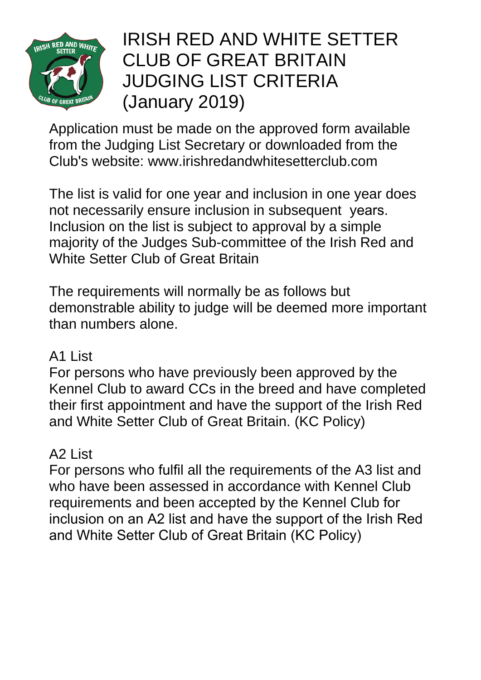

# IRISH RED AND WHITE SETTER [CLUB OF GREAT BRITAIN](http://www.irishredandwhitesetterclub.com/uploads/files/downloads/130.pdf#page=1)  [JUDGING LIST CRITERIA](http://www.irishredandwhitesetterclub.com/uploads/files/downloads/130.pdf#page=3)  (January 2019)

Application must be made on the approved form available from the Judging List Secretary or downloaded from the Club's website: www.irishredandwhitesetterclub.com

The list is valid for one year and inclusion in one year does not necessarily ensure inclusion in subsequent years. Inclusion on the list is subject to approval by a simple majority of the Judges Sub-committee of the Irish Red and White Setter Club of Great Britain

The requirements will normally be as follows but demonstrable ability to judge will be deemed more important than numbers alone.

#### A1 List

For persons who have previously been approved by the Kennel Club to award CCs in the breed and have completed their first appointment and have the support of the Irish Red and White Setter Club of Great Britain. (KC Policy)

### A2 List

For persons who fulfil all the requirements of the A3 list and who have been assessed in accordance with Kennel Club requirements and been accepted by the Kennel Club for inclusion on an A2 list and have the support of the Irish Red and White Setter Club of Great Britain (KC Policy)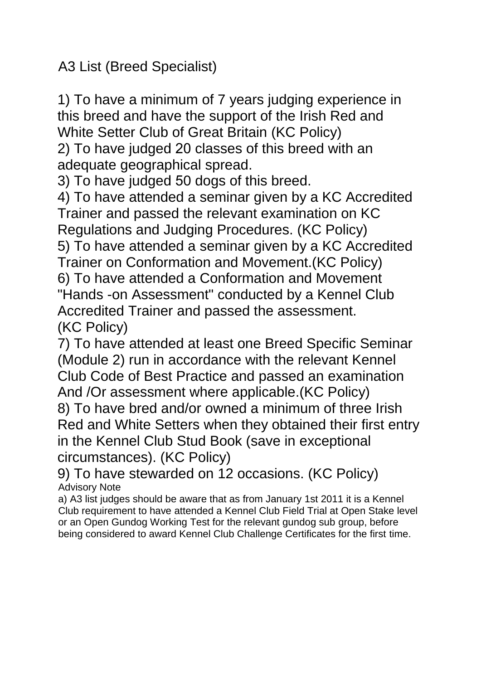A3 List (Breed Specialist)

1) To have a minimum of 7 years judging experience in this breed and have the support of the Irish Red and White Setter Club of Great Britain (KC Policy) 2) To have judged 20 classes of this breed with an

adequate geographical spread.

3) To have judged 50 dogs of this breed.

4) To have attended a seminar given by a KC Accredited Trainer and passed the relevant examination on KC Regulations and Judging Procedures. (KC Policy) 5) To have attended a seminar given by a KC Accredited Trainer on Conformation and Movement.(KC Policy) 6) To have attended a Conformation and Movement "Hands -on Assessment" conducted by a Kennel Club Accredited Trainer and passed the assessment.

(KC Policy)

7) To have attended at least one Breed Specific Seminar (Module 2) run in accordance with the relevant Kennel Club Code of Best Practice and passed an examination And /Or assessment where applicable.(KC Policy)

8) To have bred and/or owned a minimum of three Irish Red and White Setters when they obtained their first entry in the Kennel Club Stud Book (save in exceptional circumstances). (KC Policy)

9) To have stewarded on 12 occasions. (KC Policy) Advisory Note

a) A3 list judges should be aware that as from January 1st 2011 it is a Kennel Club requirement to have attended a Kennel Club Field Trial at Open Stake level or an Open Gundog Working Test for the relevant gundog sub group, before being considered to award Kennel Club Challenge Certificates for the first time.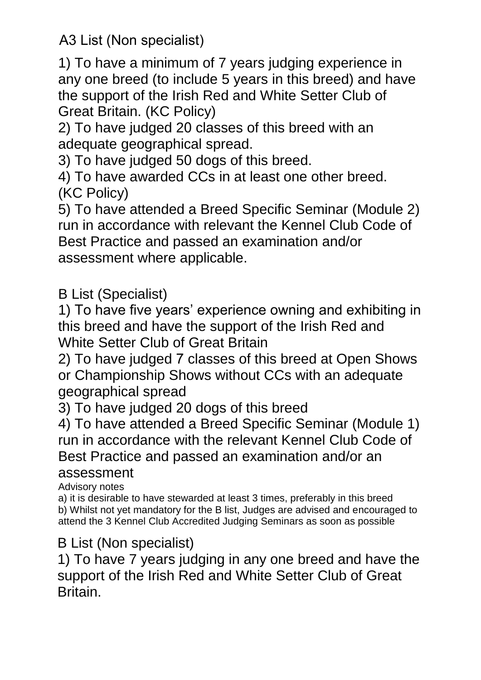A3 List (Non specialist)

1) To have a minimum of 7 years judging experience in any one breed (to include 5 years in this breed) and have the support of the Irish Red and White Setter Club of Great Britain. (KC Policy)

2) To have judged 20 classes of this breed with an adequate geographical spread.

3) To have judged 50 dogs of this breed.

4) To have awarded CCs in at least one other breed. (KC Policy)

5) To have attended a Breed Specific Seminar (Module 2) run in accordance with relevant the Kennel Club Code of Best Practice and passed an examination and/or assessment where applicable.

## B List (Specialist)

1) To have five years' experience owning and exhibiting in this breed and have the support of the Irish Red and White Setter Club of Great Britain

2) To have judged 7 classes of this breed at Open Shows or Championship Shows without CCs with an adequate geographical spread

3) To have judged 20 dogs of this breed

4) To have attended a Breed Specific Seminar (Module 1) run in accordance with the relevant Kennel Club Code of Best Practice and passed an examination and/or an

#### assessment

Advisory notes

a) it is desirable to have stewarded at least 3 times, preferably in this breed b) Whilst not yet mandatory for the B list, Judges are advised and encouraged to attend the 3 Kennel Club Accredited Judging Seminars as soon as possible

### B List (Non specialist)

1) To have 7 years judging in any one breed and have the support of the Irish Red and White Setter Club of Great Britain.